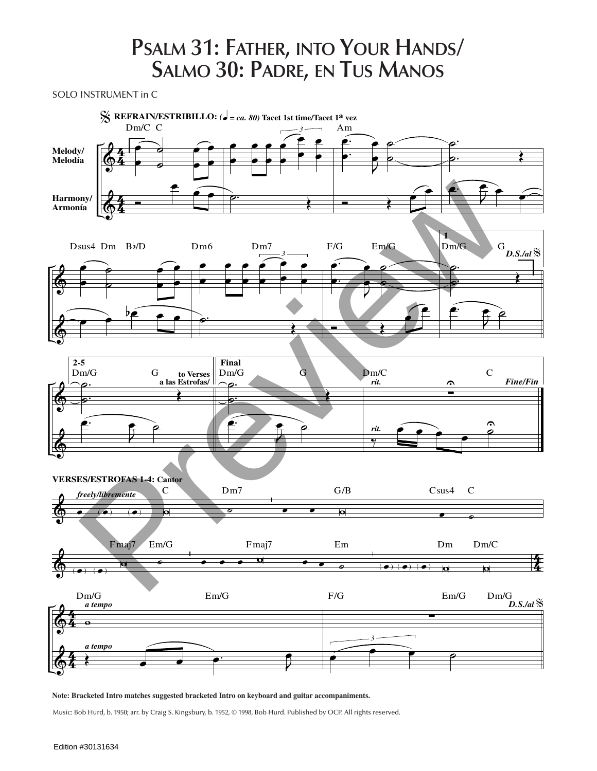## **Psalm 31: Father, into Your Hands/ Salmo 30: Padre, en Tus Manos**

SOLO INSTRUMENT in C



**Note: Bracketed Intro matches suggested bracketed Intro on keyboard and guitar accompaniments.**

Music: Bob Hurd, b. 1950; arr. by Craig S. Kingsbury, b. 1952, © 1998, Bob Hurd. Published by OCP. All rights reserved.